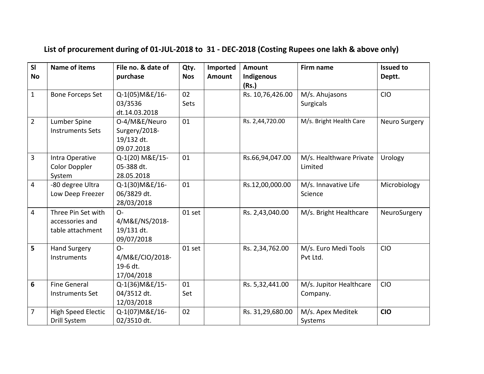## **List of procurement during of 01-JUL-2018 to 31 - DEC-2018 (Costing Rupees one lakh & above only)**

| SI<br><b>No</b> | <b>Name of items</b>             | File no. & date of<br>purchase | Qty.<br><b>Nos</b> | Imported<br><b>Amount</b> | <b>Amount</b><br>Indigenous | <b>Firm name</b>                   | <b>Issued to</b><br>Deptt. |
|-----------------|----------------------------------|--------------------------------|--------------------|---------------------------|-----------------------------|------------------------------------|----------------------------|
|                 |                                  |                                |                    |                           | (Rs.)                       |                                    |                            |
| $\mathbf{1}$    | <b>Bone Forceps Set</b>          | Q-1(05) M&E/16-                | 02                 |                           | Rs. 10,76,426.00            | M/s. Ahujasons                     | <b>CIO</b>                 |
|                 |                                  | 03/3536                        | Sets               |                           |                             | <b>Surgicals</b>                   |                            |
|                 |                                  | dt.14.03.2018                  |                    |                           |                             |                                    |                            |
| $\overline{2}$  | Lumber Spine                     | O-4/M&E/Neuro                  | 01                 |                           | Rs. 2,44,720.00             | M/s. Bright Health Care            | Neuro Surgery              |
|                 | <b>Instruments Sets</b>          | Surgery/2018-                  |                    |                           |                             |                                    |                            |
|                 |                                  | 19/132 dt.                     |                    |                           |                             |                                    |                            |
| 3               |                                  | 09.07.2018                     | 01                 |                           |                             |                                    |                            |
|                 | Intra Operative<br>Color Doppler | Q-1(20) M&E/15-<br>05-388 dt.  |                    |                           | Rs.66,94,047.00             | M/s. Healthware Private<br>Limited | Urology                    |
|                 | System                           | 28.05.2018                     |                    |                           |                             |                                    |                            |
| $\overline{4}$  | -80 degree Ultra                 | Q-1(30) M&E/16-                | 01                 |                           | Rs.12,00,000.00             | M/s. Innavative Life               | Microbiology               |
|                 | Low Deep Freezer                 | 06/3829 dt.                    |                    |                           |                             | Science                            |                            |
|                 |                                  | 28/03/2018                     |                    |                           |                             |                                    |                            |
| $\overline{4}$  | Three Pin Set with               | $O -$                          | 01 set             |                           | Rs. 2,43,040.00             | M/s. Bright Healthcare             | NeuroSurgery               |
|                 | accessories and                  | 4/M&E/NS/2018-                 |                    |                           |                             |                                    |                            |
|                 | table attachment                 | 19/131 dt.                     |                    |                           |                             |                                    |                            |
|                 |                                  | 09/07/2018                     |                    |                           |                             |                                    |                            |
| 5               | <b>Hand Surgery</b>              | $O -$                          | 01 set             |                           | Rs. 2,34,762.00             | M/s. Euro Medi Tools               | <b>CIO</b>                 |
|                 | Instruments                      | 4/M&E/CIO/2018-                |                    |                           |                             | Pvt Ltd.                           |                            |
|                 |                                  | 19-6 dt.                       |                    |                           |                             |                                    |                            |
|                 |                                  | 17/04/2018                     |                    |                           |                             |                                    |                            |
| 6               | <b>Fine General</b>              | Q-1(36) M&E/15-                | 01                 |                           | Rs. 5,32,441.00             | M/s. Jupitor Healthcare            | <b>CIO</b>                 |
|                 | <b>Instruments Set</b>           | 04/3512 dt.                    | Set                |                           |                             | Company.                           |                            |
|                 |                                  | 12/03/2018                     |                    |                           |                             |                                    |                            |
| 7               | <b>High Speed Electic</b>        | Q-1(07) M&E/16-<br>02/3510 dt. | 02                 |                           | Rs. 31,29,680.00            | M/s. Apex Meditek                  | <b>CIO</b>                 |
|                 | Drill System                     |                                |                    |                           |                             | Systems                            |                            |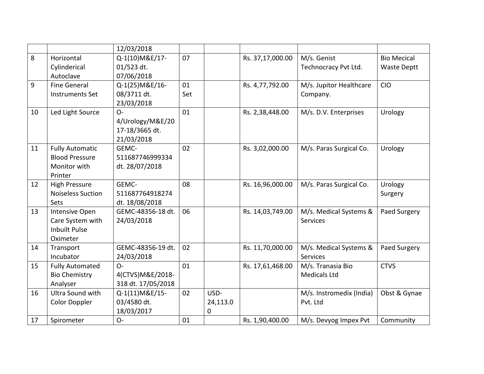|    |                          | 12/03/2018         |     |          |                  |                          |                    |
|----|--------------------------|--------------------|-----|----------|------------------|--------------------------|--------------------|
| 8  | Horizontal               | Q-1(10) M&E/17-    | 07  |          | Rs. 37,17,000.00 | M/s. Genist              | <b>Bio Mecical</b> |
|    | Cylinderical             | 01/523 dt.         |     |          |                  | Technocracy Pvt Ltd.     | <b>Waste Deptt</b> |
|    | Autoclave                | 07/06/2018         |     |          |                  |                          |                    |
| 9  | <b>Fine General</b>      | Q-1(25) M&E/16-    | 01  |          | Rs. 4,77,792.00  | M/s. Jupitor Healthcare  | CIO                |
|    | <b>Instruments Set</b>   | 08/3711 dt.        | Set |          |                  | Company.                 |                    |
|    |                          | 23/03/2018         |     |          |                  |                          |                    |
| 10 | Led Light Source         | $O -$              | 01  |          | Rs. 2,38,448.00  | M/s. D.V. Enterprises    | Urology            |
|    |                          | 4/Urology/M&E/20   |     |          |                  |                          |                    |
|    |                          | 17-18/3665 dt.     |     |          |                  |                          |                    |
|    |                          | 21/03/2018         |     |          |                  |                          |                    |
| 11 | <b>Fully Automatic</b>   | GEMC-              | 02  |          | Rs. 3,02,000.00  | M/s. Paras Surgical Co.  | Urology            |
|    | <b>Blood Pressure</b>    | 511687746999334    |     |          |                  |                          |                    |
|    | Monitor with             | dt. 28/07/2018     |     |          |                  |                          |                    |
|    | Printer                  |                    |     |          |                  |                          |                    |
| 12 | <b>High Pressure</b>     | GEMC-              | 08  |          | Rs. 16,96,000.00 | M/s. Paras Surgical Co.  | Urology            |
|    | <b>Noiseless Suction</b> | 511687764918274    |     |          |                  |                          | Surgery            |
|    | <b>Sets</b>              | dt. 18/08/2018     |     |          |                  |                          |                    |
| 13 | Intensive Open           | GEMC-48356-18 dt.  | 06  |          | Rs. 14,03,749.00 | M/s. Medical Systems &   | Paed Surgery       |
|    | Care System with         | 24/03/2018         |     |          |                  | <b>Services</b>          |                    |
|    | <b>Inbuilt Pulse</b>     |                    |     |          |                  |                          |                    |
|    | Oximeter                 |                    |     |          |                  |                          |                    |
| 14 | Transport                | GEMC-48356-19 dt.  | 02  |          | Rs. 11,70,000.00 | M/s. Medical Systems &   | Paed Surgery       |
|    | Incubator                | 24/03/2018         |     |          |                  | <b>Services</b>          |                    |
| 15 | <b>Fully Automated</b>   | $O -$              | 01  |          | Rs. 17,61,468.00 | M/s. Tranasia Bio        | <b>CTVS</b>        |
|    | <b>Bio Chemistry</b>     | 4(CTVS)M&E/2018-   |     |          |                  | <b>Medicals Ltd</b>      |                    |
|    | Analyser                 | 318 dt. 17/05/2018 |     |          |                  |                          |                    |
| 16 | Ultra Sound with         | Q-1(11) M&E/15-    | 02  | USD-     |                  | M/s. Instromedix (India) | Obst & Gynae       |
|    | <b>Color Doppler</b>     | 03/4580 dt.        |     | 24,113.0 |                  | Pvt. Ltd                 |                    |
|    |                          | 18/03/2017         |     | 0        |                  |                          |                    |
| 17 | Spirometer               | $O -$              | 01  |          | Rs. 1,90,400.00  | M/s. Devyog Impex Pvt    | Community          |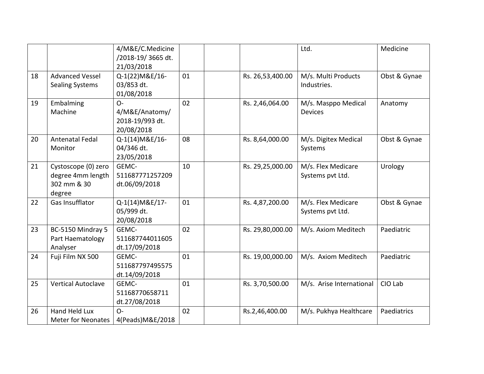|    |                                                                   | 4/M&E/C.Medicine<br>/2018-19/3665 dt.<br>21/03/2018      |    |                  | Ltd.                                   | Medicine     |
|----|-------------------------------------------------------------------|----------------------------------------------------------|----|------------------|----------------------------------------|--------------|
| 18 | <b>Advanced Vessel</b><br><b>Sealing Systems</b>                  | Q-1(22) M&E/16-<br>03/853 dt.<br>01/08/2018              | 01 | Rs. 26,53,400.00 | M/s. Multi Products<br>Industries.     | Obst & Gynae |
| 19 | Embalming<br>Machine                                              | $O -$<br>4/M&E/Anatomy/<br>2018-19/993 dt.<br>20/08/2018 | 02 | Rs. 2,46,064.00  | M/s. Masppo Medical<br><b>Devices</b>  | Anatomy      |
| 20 | <b>Antenatal Fedal</b><br>Monitor                                 | Q-1(14) M&E/16-<br>04/346 dt.<br>23/05/2018              | 08 | Rs. 8,64,000.00  | M/s. Digitex Medical<br>Systems        | Obst & Gynae |
| 21 | Cystoscope (0) zero<br>degree 4mm length<br>302 mm & 30<br>degree | GEMC-<br>511687771257209<br>dt.06/09/2018                | 10 | Rs. 29,25,000.00 | M/s. Flex Medicare<br>Systems pvt Ltd. | Urology      |
| 22 | <b>Gas Insufflator</b>                                            | Q-1(14) M&E/17-<br>05/999 dt.<br>20/08/2018              | 01 | Rs. 4,87,200.00  | M/s. Flex Medicare<br>Systems pvt Ltd. | Obst & Gynae |
| 23 | BC-5150 Mindray 5<br>Part Haematology<br>Analyser                 | GEMC-<br>511687744011605<br>dt.17/09/2018                | 02 | Rs. 29,80,000.00 | M/s. Axiom Meditech                    | Paediatric   |
| 24 | Fuji Film NX 500                                                  | GEMC-<br>511687797495575<br>dt.14/09/2018                | 01 | Rs. 19,00,000.00 | M/s. Axiom Meditech                    | Paediatric   |
| 25 | <b>Vertical Autoclave</b>                                         | GEMC-<br>51168770658711<br>dt.27/08/2018                 | 01 | Rs. 3,70,500.00  | M/s. Arise International               | CIO Lab      |
| 26 | <b>Hand Held Lux</b><br><b>Meter for Neonates</b>                 | $O -$<br>4(Peads) M&E/2018                               | 02 | Rs.2,46,400.00   | M/s. Pukhya Healthcare                 | Paediatrics  |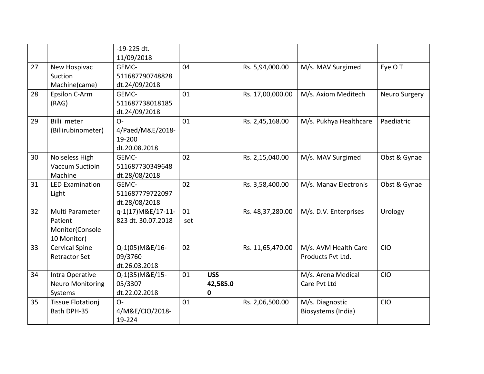|    |                                                              | $-19-225$ dt.<br>11/09/2018                          |           |                             |                  |                                           |               |
|----|--------------------------------------------------------------|------------------------------------------------------|-----------|-----------------------------|------------------|-------------------------------------------|---------------|
| 27 | New Hospivac<br>Suction<br>Machine(came)                     | GEMC-<br>511687790748828<br>dt.24/09/2018            | 04        |                             | Rs. 5,94,000.00  | M/s. MAV Surgimed                         | Eye O T       |
| 28 | Epsilon C-Arm<br>(RAG)                                       | GEMC-<br>511687738018185<br>dt.24/09/2018            | 01        |                             | Rs. 17,00,000.00 | M/s. Axiom Meditech                       | Neuro Surgery |
| 29 | Billi meter<br>(Billirubinometer)                            | $O -$<br>4/Paed/M&E/2018-<br>19-200<br>dt.20.08.2018 | 01        |                             | Rs. 2,45,168.00  | M/s. Pukhya Healthcare                    | Paediatric    |
| 30 | Noiseless High<br>Vaccum Suctioin<br>Machine                 | GEMC-<br>511687730349648<br>dt.28/08/2018            | 02        |                             | Rs. 2,15,040.00  | M/s. MAV Surgimed                         | Obst & Gynae  |
| 31 | <b>LED Examination</b><br>Light                              | GEMC-<br>511687779722097<br>dt.28/08/2018            | 02        |                             | Rs. 3,58,400.00  | M/s. Manav Electronis                     | Obst & Gynae  |
| 32 | Multi Parameter<br>Patient<br>Monitor(Console<br>10 Monitor) | q-1(17) M&E/17-11-<br>823 dt. 30.07.2018             | 01<br>set |                             | Rs. 48,37,280.00 | M/s. D.V. Enterprises                     | Urology       |
| 33 | <b>Cervical Spine</b><br><b>Retractor Set</b>                | Q-1(05) M&E/16-<br>09/3760<br>dt.26.03.2018          | 02        |                             | Rs. 11,65,470.00 | M/s. AVM Health Care<br>Products Pvt Ltd. | <b>CIO</b>    |
| 34 | Intra Operative<br><b>Neuro Monitoring</b><br>Systems        | Q-1(35) M&E/15-<br>05/3307<br>dt.22.02.2018          | 01        | <b>USS</b><br>42,585.0<br>0 |                  | M/s. Arena Medical<br>Care Pvt Ltd        | <b>CIO</b>    |
| 35 | <b>Tissue Flotationj</b><br>Bath DPH-35                      | $O -$<br>4/M&E/CIO/2018-<br>19-224                   | 01        |                             | Rs. 2,06,500.00  | M/s. Diagnostic<br>Biosystems (India)     | <b>CIO</b>    |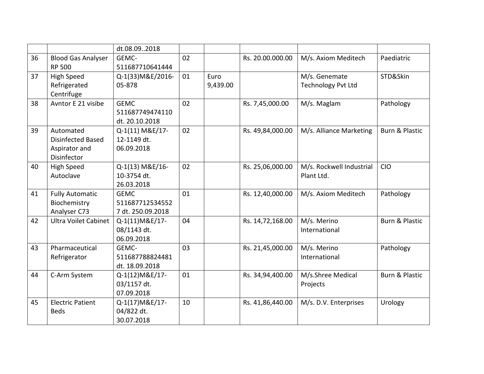|    |                             | dt.08.092018      |    |          |                  |                           |                           |
|----|-----------------------------|-------------------|----|----------|------------------|---------------------------|---------------------------|
| 36 | <b>Blood Gas Analyser</b>   | GEMC-             | 02 |          | Rs. 20.00.000.00 | M/s. Axiom Meditech       | Paediatric                |
|    | <b>RP 500</b>               | 511687710641444   |    |          |                  |                           |                           |
| 37 | <b>High Speed</b>           | Q-1(33) M&E/2016- | 01 | Euro     |                  | M/s. Genemate             | STD&Skin                  |
|    | Refrigerated                | 05-878            |    | 9,439.00 |                  | <b>Technology Pvt Ltd</b> |                           |
|    | Centrifuge                  |                   |    |          |                  |                           |                           |
| 38 | Avntor E 21 visibe          | <b>GEMC</b>       | 02 |          | Rs. 7,45,000.00  | M/s. Maglam               | Pathology                 |
|    |                             | 511687749474110   |    |          |                  |                           |                           |
|    |                             | dt. 20.10.2018    |    |          |                  |                           |                           |
| 39 | Automated                   | Q-1(11) M&E/17-   | 02 |          | Rs. 49,84,000.00 | M/s. Alliance Marketing   | <b>Burn &amp; Plastic</b> |
|    | Disinfected Based           | 12-1149 dt.       |    |          |                  |                           |                           |
|    | Aspirator and               | 06.09.2018        |    |          |                  |                           |                           |
|    | Disinfector                 |                   |    |          |                  |                           |                           |
| 40 | <b>High Speed</b>           | Q-1(13) M&E/16-   | 02 |          | Rs. 25,06,000.00 | M/s. Rockwell Industrial  | <b>CIO</b>                |
|    | Autoclave                   | 10-3754 dt.       |    |          |                  | Plant Ltd.                |                           |
|    |                             | 26.03.2018        |    |          |                  |                           |                           |
| 41 | <b>Fully Automatic</b>      | <b>GEMC</b>       | 01 |          | Rs. 12,40,000.00 | M/s. Axiom Meditech       | Pathology                 |
|    | Biochemistry                | 511687712534552   |    |          |                  |                           |                           |
|    | Analyser C73                | 7 dt. 250.09.2018 |    |          |                  |                           |                           |
| 42 | <b>Ultra Voilet Cabinet</b> | Q-1(11) M&E/17-   | 04 |          | Rs. 14,72,168.00 | M/s. Merino               | Burn & Plastic            |
|    |                             | 08/1143 dt.       |    |          |                  | International             |                           |
|    |                             | 06.09.2018        |    |          |                  |                           |                           |
| 43 | Pharmaceutical              | GEMC-             | 03 |          | Rs. 21,45,000.00 | M/s. Merino               | Pathology                 |
|    | Refrigerator                | 511687788824481   |    |          |                  | International             |                           |
|    |                             | dt. 18.09.2018    |    |          |                  |                           |                           |
| 44 | C-Arm System                | Q-1(12) M&E/17-   | 01 |          | Rs. 34,94,400.00 | M/s.Shree Medical         | <b>Burn &amp; Plastic</b> |
|    |                             | 03/1157 dt.       |    |          |                  | Projects                  |                           |
|    |                             | 07.09.2018        |    |          |                  |                           |                           |
| 45 | <b>Electric Patient</b>     | Q-1(17) M&E/17-   | 10 |          | Rs. 41,86,440.00 | M/s. D.V. Enterprises     | Urology                   |
|    | <b>Beds</b>                 | 04/822 dt.        |    |          |                  |                           |                           |
|    |                             | 30.07.2018        |    |          |                  |                           |                           |